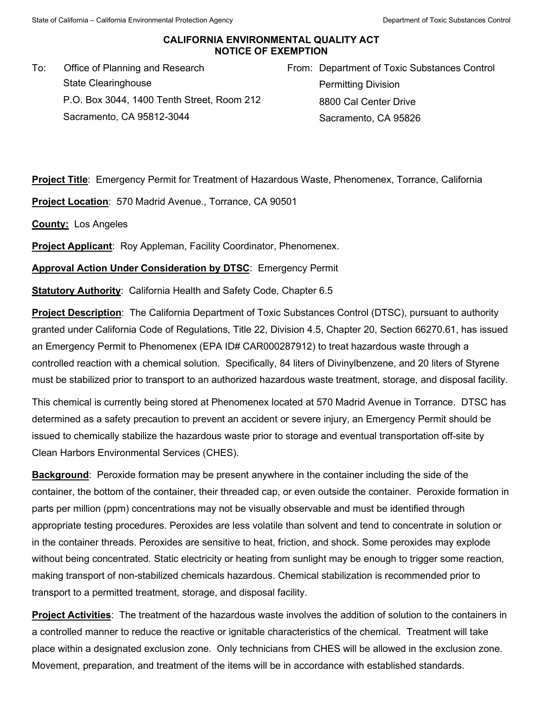## **CALIFORNIA ENVIRONMENTAL QUALITY ACT NOTICE OF EXEMPTION**

To: Office of Planning and Research State Clearinghouse P.O. Box 3044, 1400 Tenth Street, Room 212 Sacramento, CA 95812-3044

From: Department of Toxic Substances Control Permitting Division 8800 Cal Center Drive Sacramento, CA 95826

**Project Title**: Emergency Permit for Treatment of Hazardous Waste, Phenomenex, Torrance, California

**Project Location**: 570 Madrid Avenue., Torrance, CA 90501

**County:** Los Angeles

**Project Applicant:** Roy Appleman, Facility Coordinator, Phenomenex.

**Approval Action Under Consideration by DTSC**: Emergency Permit

**Statutory Authority**: California Health and Safety Code, Chapter 6.5

**Project Description**: The California Department of Toxic Substances Control (DTSC), pursuant to authority granted under California Code of Regulations, Title 22, Division 4.5, Chapter 20, Section 66270.61, has issued an Emergency Permit to Phenomenex (EPA ID# CAR000287912) to treat hazardous waste through a controlled reaction with a chemical solution. Specifically, 84 liters of Divinylbenzene, and 20 liters of Styrene must be stabilized prior to transport to an authorized hazardous waste treatment, storage, and disposal facility.

This chemical is currently being stored at Phenomenex located at 570 Madrid Avenue in Torrance. DTSC has determined as a safety precaution to prevent an accident or severe injury, an Emergency Permit should be issued to chemically stabilize the hazardous waste prior to storage and eventual transportation off-site by Clean Harbors Environmental Services (CHES).

**Background**: Peroxide formation may be present anywhere in the container including the side of the container, the bottom of the container, their threaded cap, or even outside the container. Peroxide formation in parts per million (ppm) concentrations may not be visually observable and must be identified through appropriate testing procedures. Peroxides are less volatile than solvent and tend to concentrate in solution or in the container threads. Peroxides are sensitive to heat, friction, and shock. Some peroxides may explode without being concentrated. Static electricity or heating from sunlight may be enough to trigger some reaction, making transport of non-stabilized chemicals hazardous. Chemical stabilization is recommended prior to transport to a permitted treatment, storage, and disposal facility.

**Project Activities**: The treatment of the hazardous waste involves the addition of solution to the containers in a controlled manner to reduce the reactive or ignitable characteristics of the chemical. Treatment will take place within a designated exclusion zone. Only technicians from CHES will be allowed in the exclusion zone. Movement, preparation, and treatment of the items will be in accordance with established standards.